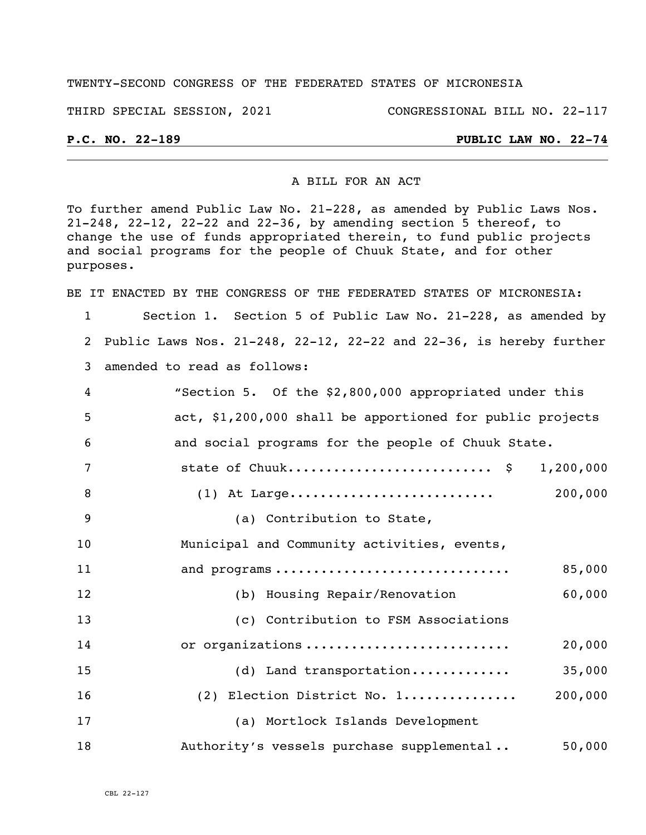### TWENTY-SECOND CONGRESS OF THE FEDERATED STATES OF MICRONESIA

THIRD SPECIAL SESSION, 2021 CONGRESSIONAL BILL NO. 22-117

## **P.C. NO. 22-189 PUBLIC LAW NO. 22-74**

### A BILL FOR AN ACT

To further amend Public Law No. 21-228, as amended by Public Laws Nos. 21-248, 22-12, 22-22 and 22-36, by amending section 5 thereof, to change the use of funds appropriated therein, to fund public projects and social programs for the people of Chuuk State, and for other purposes.

BE IT ENACTED BY THE CONGRESS OF THE FEDERATED STATES OF MICRONESIA:

1 Section 1. Section 5 of Public Law No. 21-228, as amended by 2 Public Laws Nos. 21-248, 22-12, 22-22 and 22-36, is hereby further 3 amended to read as follows:

| 4   | "Section 5. Of the \$2,800,000 appropriated under this    |
|-----|-----------------------------------------------------------|
| -5. | act, \$1,200,000 shall be apportioned for public projects |
| - 6 | and social programs for the people of Chuuk State.        |

|  | $(1)$ At Large | 200,000 |
|--|----------------|---------|

10 Municipal and Community activities, events,

9 (a) Contribution to State,

| 11 | and programs                         | 85,000  |
|----|--------------------------------------|---------|
| 12 | (b) Housing Repair/Renovation        | 60,000  |
| 13 | (c) Contribution to FSM Associations |         |
| 14 | or organizations                     | 20,000  |
| 15 | $(d)$ Land transportation            | 35,000  |
| 16 | (2) Election District No. 1          | 200,000 |
| 17 | (a) Mortlock Islands Development     |         |
|    |                                      |         |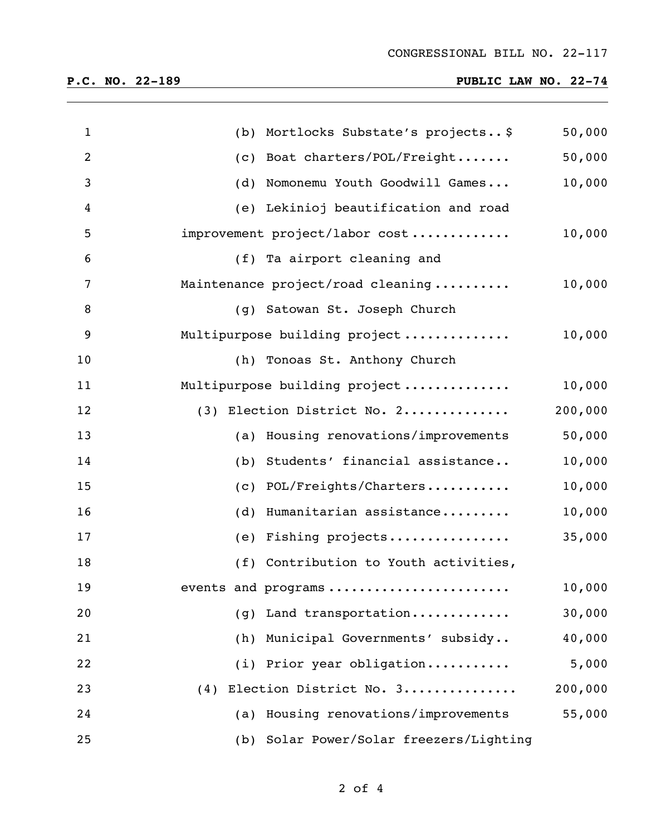# **P.C. NO. 22-189 PUBLIC LAW NO. 22-74**

| $\mathbf{1}$ | Mortlocks Substate's projects \$<br>(b)    | 50,000  |
|--------------|--------------------------------------------|---------|
| 2            | Boat charters/POL/Freight<br>(c)           | 50,000  |
| 3            | Nomonemu Youth Goodwill Games<br>(d)       | 10,000  |
| 4            | Lekinioj beautification and road<br>(e)    |         |
| 5            | improvement project/labor cost             | 10,000  |
| 6            | (f) Ta airport cleaning and                |         |
| 7            | Maintenance project/road cleaning          | 10,000  |
| 8            | (g) Satowan St. Joseph Church              |         |
| 9            | Multipurpose building project              | 10,000  |
| 10           | (h) Tonoas St. Anthony Church              |         |
| 11           | Multipurpose building project              | 10,000  |
| 12           | Election District No. 2<br>(3)             | 200,000 |
| 13           | Housing renovations/improvements<br>(a)    | 50,000  |
| 14           | Students' financial assistance<br>(b)      | 10,000  |
| 15           | POL/Freights/Charters<br>(c)               | 10,000  |
| 16           | Humanitarian assistance<br>(d)             | 10,000  |
| 17           | Fishing projects<br>(e)                    | 35,000  |
| 18           | (f) Contribution to Youth activities,      |         |
| 19           | events and programs                        | 10,000  |
| 20           | Land transportation<br>(q)                 | 30,000  |
| 21           | (h) Municipal Governments' subsidy         | 40,000  |
| 22           | (i) Prior year obligation                  | 5,000   |
| 23           | Election District No. 3<br>(4)             | 200,000 |
| 24           | Housing renovations/improvements<br>(a)    | 55,000  |
| 25           | Solar Power/Solar freezers/Lighting<br>(b) |         |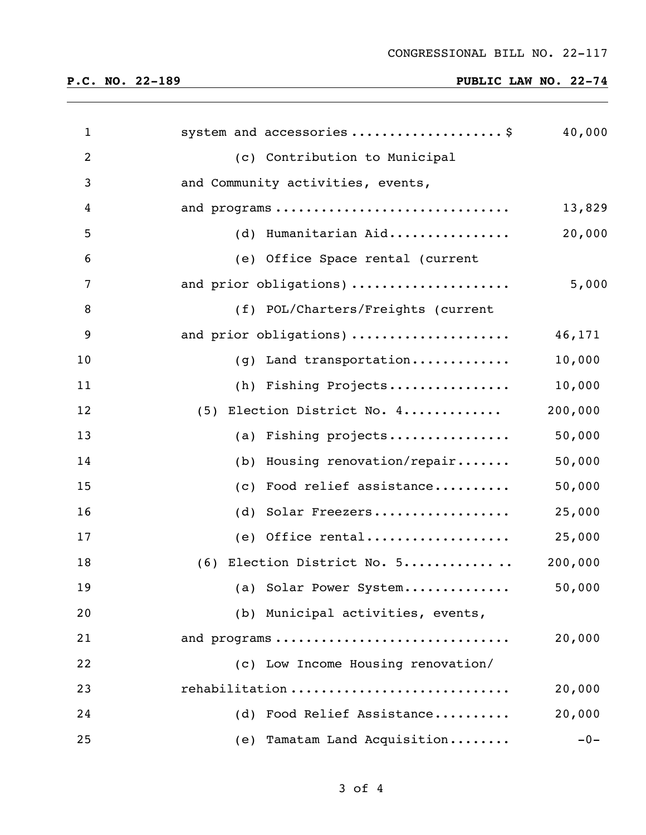# **P.C. NO. 22-189 PUBLIC LAW NO. 22-74**

| $\mathbf{1}$   | system and accessories\$           | 40,000  |
|----------------|------------------------------------|---------|
| $\overline{2}$ | (c) Contribution to Municipal      |         |
| 3              | and Community activities, events,  |         |
| 4              | and programs                       | 13,829  |
| 5              | (d) Humanitarian Aid               | 20,000  |
| 6              | (e) Office Space rental (current   |         |
| 7              | and prior obligations)             | 5,000   |
| 8              | (f) POL/Charters/Freights (current |         |
| 9              | and prior obligations)             | 46,171  |
| 10             | (g) Land transportation            | 10,000  |
| 11             | (h) Fishing Projects               | 10,000  |
| 12             | (5) Election District No. 4        | 200,000 |
| 13             | (a) Fishing projects               | 50,000  |
| 14             | (b) Housing renovation/repair      | 50,000  |
| 15             | Food relief assistance<br>(c)      | 50,000  |
| 16             | (d) Solar Freezers                 | 25,000  |
| 17             | $(e)$ Office rental                | 25,000  |
| 18             | (6) Election District No. 5        | 200,000 |
| 19             | (a) Solar Power System             | 50,000  |
| 20             | (b) Municipal activities, events,  |         |
| 21             | and programs                       | 20,000  |
| 22             | (c) Low Income Housing renovation/ |         |
| 23             | rehabilitation                     | 20,000  |
| 24             | Food Relief Assistance<br>(d)      | 20,000  |
| 25             | (e) Tamatam Land Acquisition       | $-0-$   |